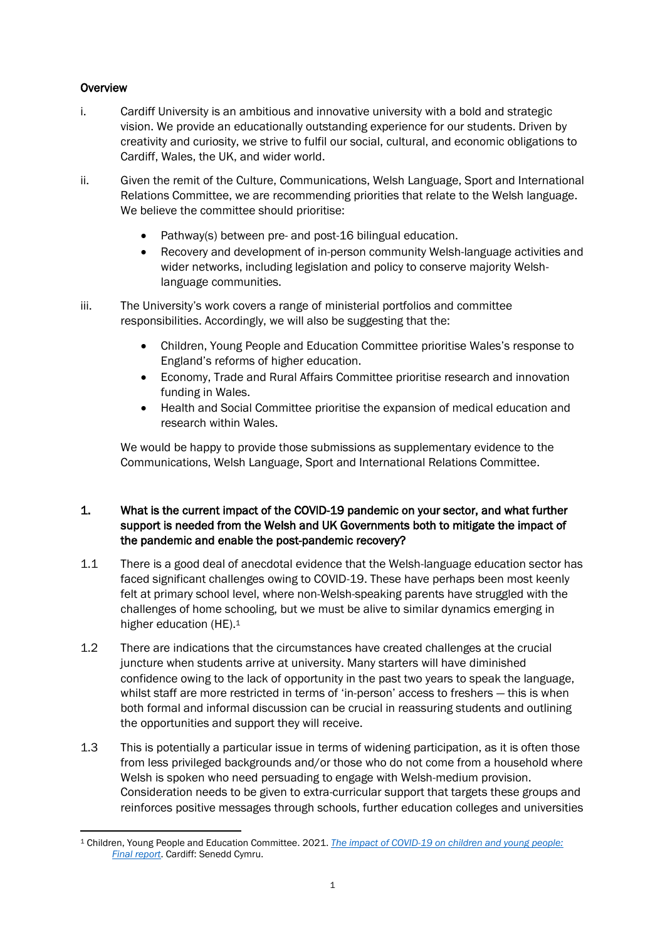## **Overview**

- i. Cardiff University is an ambitious and innovative university with a bold and strategic vision. We provide an educationally outstanding experience for our students. Driven by creativity and curiosity, we strive to fulfil our social, cultural, and economic obligations to Cardiff, Wales, the UK, and wider world.
- ii. Given the remit of the Culture, Communications, Welsh Language, Sport and International Relations Committee, we are recommending priorities that relate to the Welsh language. We believe the committee should prioritise:
	- Pathway(s) between pre- and post-16 bilingual education.
	- Recovery and development of in-person community Welsh-language activities and wider networks, including legislation and policy to conserve majority Welshlanguage communities.
- iii. The University's work covers a range of ministerial portfolios and committee responsibilities. Accordingly, we will also be suggesting that the:
	- Children, Young People and Education Committee prioritise Wales's response to England's reforms of higher education.
	- Economy, Trade and Rural Affairs Committee prioritise research and innovation funding in Wales.
	- Health and Social Committee prioritise the expansion of medical education and research within Wales.

We would be happy to provide those submissions as supplementary evidence to the Communications, Welsh Language, Sport and International Relations Committee.

## 1. What is the current impact of the COVID-19 pandemic on your sector, and what further support is needed from the Welsh and UK Governments both to mitigate the impact of the pandemic and enable the post-pandemic recovery?

- 1.1 There is a good deal of anecdotal evidence that the Welsh-language education sector has faced significant challenges owing to COVID-19. These have perhaps been most keenly felt at primary school level, where non-Welsh-speaking parents have struggled with the challenges of home schooling, but we must be alive to similar dynamics emerging in higher education (HE). 1
- 1.2 There are indications that the circumstances have created challenges at the crucial juncture when students arrive at university. Many starters will have diminished confidence owing to the lack of opportunity in the past two years to speak the language, whilst staff are more restricted in terms of 'in-person' access to freshers — this is when both formal and informal discussion can be crucial in reassuring students and outlining the opportunities and support they will receive.
- 1.3 This is potentially a particular issue in terms of widening participation, as it is often those from less privileged backgrounds and/or those who do not come from a household where Welsh is spoken who need persuading to engage with Welsh-medium provision. Consideration needs to be given to extra-curricular support that targets these groups and reinforces positive messages through schools, further education colleges and universities

<sup>1</sup> Children, Young People and Education Committee. 2021. *The impact of COVID-19 on [children and young people:](https://senedd.wales/media/ixzpwqr5/cr-ld14286-e.pdf)  [Final report](https://senedd.wales/media/ixzpwqr5/cr-ld14286-e.pdf)*. Cardiff: Senedd Cymru.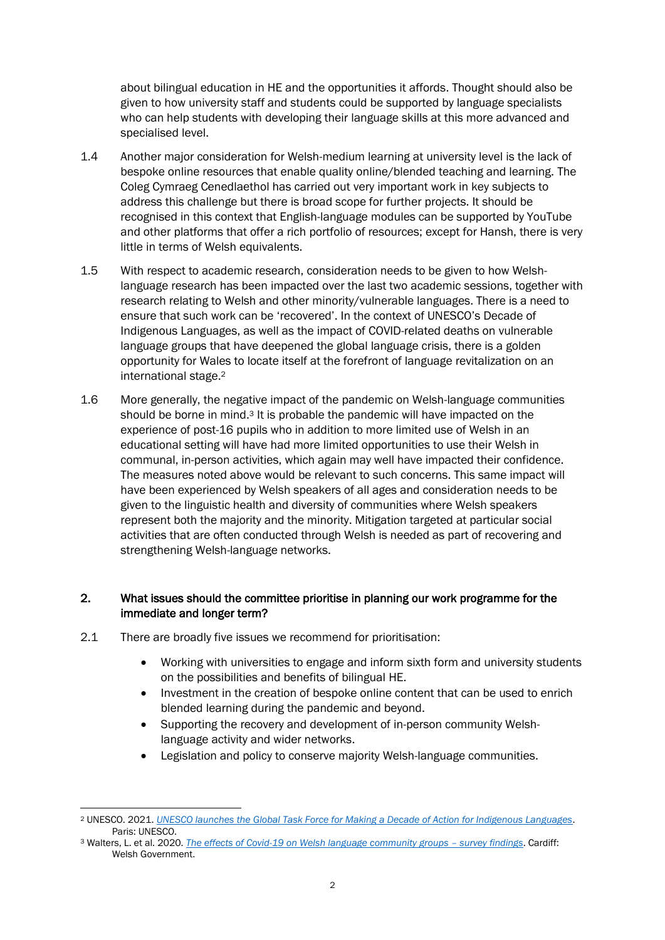about bilingual education in HE and the opportunities it affords. Thought should also be given to how university staff and students could be supported by language specialists who can help students with developing their language skills at this more advanced and specialised level.

- 1.4 Another major consideration for Welsh-medium learning at university level is the lack of bespoke online resources that enable quality online/blended teaching and learning. The Coleg Cymraeg Cenedlaethol has carried out very important work in key subjects to address this challenge but there is broad scope for further projects. It should be recognised in this context that English-language modules can be supported by YouTube and other platforms that offer a rich portfolio of resources; except for Hansh, there is very little in terms of Welsh equivalents.
- 1.5 With respect to academic research, consideration needs to be given to how Welshlanguage research has been impacted over the last two academic sessions, together with research relating to Welsh and other minority/vulnerable languages. There is a need to ensure that such work can be 'recovered'. In the context of UNESCO's Decade of Indigenous Languages, as well as the impact of COVID-related deaths on vulnerable language groups that have deepened the global language crisis, there is a golden opportunity for Wales to locate itself at the forefront of language revitalization on an international stage.<sup>2</sup>
- 1.6 More generally, the negative impact of the pandemic on Welsh-language communities should be borne in mind.<sup>3</sup> It is probable the pandemic will have impacted on the experience of post-16 pupils who in addition to more limited use of Welsh in an educational setting will have had more limited opportunities to use their Welsh in communal, in-person activities, which again may well have impacted their confidence. The measures noted above would be relevant to such concerns. This same impact will have been experienced by Welsh speakers of all ages and consideration needs to be given to the linguistic health and diversity of communities where Welsh speakers represent both the majority and the minority. Mitigation targeted at particular social activities that are often conducted through Welsh is needed as part of recovering and strengthening Welsh-language networks.

## 2. What issues should the committee prioritise in planning our work programme for the immediate and longer term?

- 2.1 There are broadly five issues we recommend for prioritisation:
	- Working with universities to engage and inform sixth form and university students on the possibilities and benefits of bilingual HE.
	- Investment in the creation of bespoke online content that can be used to enrich blended learning during the pandemic and beyond.
	- Supporting the recovery and development of in-person community Welshlanguage activity and wider networks.
	- Legislation and policy to conserve majority Welsh-language communities.

<sup>2</sup> UNESCO. 2021. *[UNESCO launches the Global Task Force for Making a Decade of Action for Indigenous Languages](https://en.unesco.org/news/unesco-launches-global-task-force-making-decade-action-indigenous-languages)*. Paris: UNESCO.

<sup>3</sup> Walters, L. et al. 2020. *[The effects of Covid-19 on Welsh language community groups](https://gov.wales/sites/default/files/statistics-and-research/2020-12/the-effects-of-covid-19-on-welsh-language-community-groups-survey-findings_1.pdf) – survey findings*. Cardiff: Welsh Government.